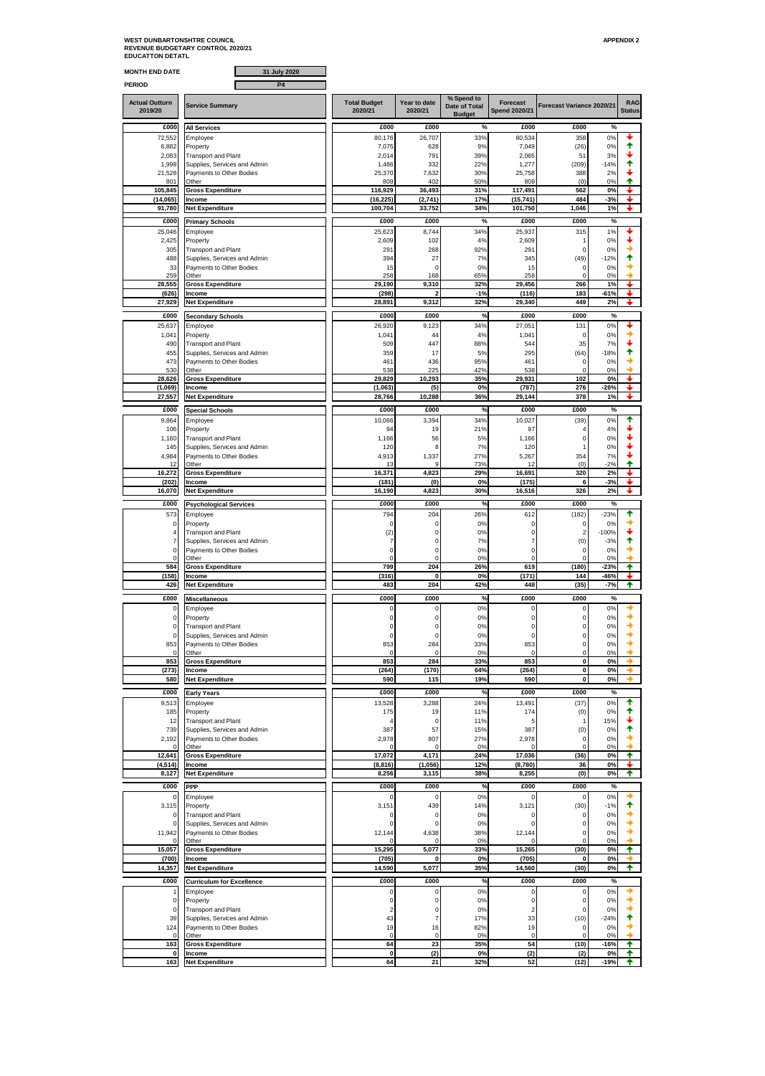## WEST DUNBARTONSHTRE COUNCIL<br>REVENUE BUDGETARY CONTROL 2020/21<br>EDUCATTON DETATL

| <b>MONTH END DATE</b>            | 31 July 2020                                               |                                |                         |                                    |                                         |                             |                 |                             |
|----------------------------------|------------------------------------------------------------|--------------------------------|-------------------------|------------------------------------|-----------------------------------------|-----------------------------|-----------------|-----------------------------|
| <b>PERIOD</b>                    | <b>P4</b>                                                  |                                |                         |                                    |                                         |                             |                 |                             |
| <b>Actual Outturn</b><br>2019/20 | <b>Service Summary</b>                                     | <b>Total Budget</b><br>2020/21 | Year to date<br>2020/21 | % Spend to<br><b>Date of Total</b> | <b>Forecast</b><br><b>Spend 2020/21</b> | Forecast Variance 2020/21   |                 | <b>RAG</b><br><b>Status</b> |
|                                  |                                                            |                                |                         | <b>Budget</b>                      |                                         |                             |                 |                             |
| £000<br>72,552                   | <b>All Services</b>                                        | £000                           | £000                    | %<br>33%                           | £000                                    | £000                        | %<br>0%         |                             |
| 6,882                            | Employee<br>Property                                       | 80,176<br>7,075                | 26,707<br>628           | 9%                                 | 80,534<br>7,049                         | 358<br>(26)                 | 0%              | ✦                           |
| 2,083                            | <b>Transport and Plant</b>                                 | 2,014                          | 791                     | 39%                                | 2,065                                   | 51                          | 3%              |                             |
| 1,998<br>21,528                  | Supplies, Services and Admin<br>Payments to Other Bodies   | 1,486<br>25,370                | 332<br>7,632            | 22%<br>30%                         | 1,277<br>25,758                         | (209)<br>388                | $-14%$<br>2%    | Ŧ                           |
| 801                              | Other                                                      | 809                            | 402                     | 50%                                | 809                                     | (0)                         | 0%              | ♠                           |
| 105,845<br>(14,065)              | <b>Gross Expenditure</b><br>Income                         | 116,929<br>(16, 225)           | 36,493<br>(2,741)       | 31%<br>17%                         | 117,491<br>(15, 741)                    | 562<br>484                  | 0%<br>$-3%$     | ÷                           |
| 91,780                           | <b>Net Expenditure</b>                                     | 100,704                        | 33,752                  | 34%                                | 101,750                                 | 1,046                       | 1%              |                             |
| £000                             | <b>Primary Schools</b>                                     | £000                           | £000                    | %                                  | £000                                    | £000                        | %               |                             |
| 25,046                           | Employee                                                   | 25,623                         | 8,744                   | 34%                                | 25,937                                  | 315                         | 1%              |                             |
| 2,425<br>305                     | Property<br><b>Transport and Plant</b>                     | 2,609<br>29'                   | 102<br>268              | 4%<br>92%                          | 2,609<br>291                            | 1<br>0                      | 0%<br>0%        |                             |
| 488                              | Supplies, Services and Admin                               | 394                            | 27                      | 7%                                 | 345                                     | (49)                        | $-12%$          | ↑                           |
| 33<br>259                        | Payments to Other Bodies                                   | 15<br>258                      | $\mathbf 0$<br>168      | 0%<br>65%                          | 15<br>258                               | 0<br>$\Omega$               | 0%<br>0%        |                             |
| 28,555                           | Other<br><b>Gross Expenditure</b>                          | 29,190                         | 9,310                   | 32%                                | 29,456                                  | 266                         | 1%              |                             |
| (626)                            | Income                                                     | (298)                          | 2                       | $-1%$                              | (116)                                   | 183                         | -61%            | ı                           |
| 27,929                           | <b>Net Expenditure</b>                                     | 28,891                         | 9,312                   | 32%                                | 29,340                                  | 449                         | 2%              | ┻                           |
| £000                             | <b>Secondary Schools</b>                                   | £000                           | £000                    | %                                  | £000                                    | £000                        | %               |                             |
| 25,637<br>1,041                  | Employee<br>Property                                       | 26,920<br>1,04'                | 9,123<br>44             | 34%<br>4%                          | 27,051<br>1,041                         | 131<br>0                    | 0%<br>0%        |                             |
| 490                              | <b>Transport and Plant</b>                                 | 509                            | 447                     | 88%                                | 544                                     | 35                          | 7%              |                             |
| 455<br>473                       | Supplies, Services and Admin<br>Payments to Other Bodies   | 359<br>461                     | 17<br>436               | 5%<br>95%                          | 295<br>461                              | (64)<br>$\mathbf 0$         | $-18%$<br>0%    | ↑                           |
| 530                              | Other                                                      | 538                            | 225                     | 42%                                | 538                                     | $\mathbf 0$                 | 0%              | ▲                           |
| 28,626                           | <b>Gross Expenditure</b>                                   | 29,829                         | 10,293                  | 35%                                | 29.931                                  | 102                         | 0%              |                             |
| (1,069)<br>27,557                | Income<br><b>Net Expenditure</b>                           | (1,063)<br>28,766              | (5)<br>10,288           | 0%<br>36%                          | (787)<br>29,144                         | 276<br>378                  | 26%<br>1%       | +                           |
| £000                             | <b>Special Schools</b>                                     | £000                           | £000                    | %                                  | £000                                    | £000                        | %               |                             |
| 9,864                            | Employee                                                   | 10,066                         | 3,394                   | 34%                                | 10,027                                  | (39)                        | 0%              | ↟                           |
| 106                              | Property                                                   | 94                             | 19                      | 21%                                | 97                                      | $\overline{4}$              | 4%              |                             |
| 1,160<br>145                     | <b>Transport and Plant</b><br>Supplies, Services and Admin | 1,166<br>120                   | 56<br>8                 | 5%<br>7%                           | 1,166<br>120                            | $\pmb{0}$<br>$\overline{1}$ | 0%<br>0%        |                             |
| 4,984                            | Payments to Other Bodies                                   | 4,913                          | 1,337                   | 27%                                | 5,267                                   | 354                         | 7%              |                             |
| 12<br>16,272                     | Other<br><b>Gross Expenditure</b>                          | 13<br>16,371                   | q<br>4,823              | 73%<br>29%                         | 12<br>16,691                            | (0)<br>320                  | $-2%$<br>2%     | ♠                           |
| (202)                            | Income                                                     | (181)                          | (0)                     | 0%                                 | (175)                                   | 6                           | $-3%$           |                             |
| 16,070                           | <b>Net Expenditure</b>                                     | 16,190                         | 4,823                   | 30%                                | 16,516                                  | 326                         | 2%              | ┻                           |
| £000                             | <b>Psychological Services</b>                              | £000                           | £000                    | %                                  | £000                                    | £000                        | %               |                             |
| 573<br>0                         | Employee<br>Property                                       | 794<br>$\Omega$                | 204<br>$\mathbf 0$      | 26%<br>0%                          | 612<br>0                                | (182)<br>0                  | $-23%$<br>0%    | ✦                           |
| $\overline{4}$                   | <b>Transport and Plant</b>                                 | (2)                            | $\mathbf 0$             | 0%                                 | $\mathbf 0$                             | $\overline{2}$              | $-100%$         |                             |
| $\overline{7}$                   | Supplies, Services and Admin                               | 7                              | $\pmb{0}$               | 7%                                 | 7                                       | (0)                         | $-3%$           | ↟                           |
| 0<br>0                           | Payments to Other Bodies<br>Other                          | 0<br>$\Omega$                  | $\pmb{0}$<br>$\pmb{0}$  | 0%<br>0%                           | 0<br>0                                  | 0<br>$\mathbf 0$            | 0%<br>0%        | →<br>۰                      |
| 584                              | <b>Gross Expenditure</b>                                   | 799                            | 204                     | 26%                                | 619                                     | (180)                       | 23%             | ✦                           |
| (158)<br>426                     | Income<br><b>Net Expenditure</b>                           | (316)<br>483                   | $\mathbf 0$<br>204      | 0%<br>42%                          | (171)<br>448                            | 144<br>(35)                 | $-46%$<br>$-7%$ | ✦                           |
| £000                             |                                                            | £000                           | £000                    | %                                  | £000                                    | £000                        | %               |                             |
| 0                                | <b>Miscellaneous</b><br>Employee                           |                                | 0                       | 0%                                 | 0                                       | 0                           | 0%              |                             |
| $\mathbf 0$                      | Property                                                   | $\Omega$                       | $\mathbf 0$             | 0%                                 | 0                                       | $\mathbf 0$                 | 0%              | →                           |
| $\Omega$<br>0                    | <b>Transport and Plant</b><br>Supplies, Services and Admin | 0                              | $\Omega$<br>0           | 0%<br>0%                           | $\Omega$<br>0                           | $\Omega$<br>0               | 0%<br>0%        |                             |
| 853                              | Payments to Other Bodies                                   | 853                            | 284                     | 33%                                | 853                                     | $\pmb{0}$                   | 0%              |                             |
| 0<br>853                         | Other<br><b>Gross Expenditure</b>                          | 853                            | $\Omega$<br>284         | 0%                                 | $\Omega$<br>853                         | $\mathbf 0$<br>0            | 0%              | →                           |
| (273)                            | Income                                                     | (264)                          | (170)                   | 33%<br>64%                         | (264)                                   | 0                           | 0%<br>$0\%$     | ◆                           |
| 580                              | <b>Net Expenditure</b>                                     | 590                            | 115                     | 19%                                | 590                                     | 0                           | 0%              | →                           |
| £000                             | <b>Early Years</b>                                         | £000                           | £000                    | %                                  | £000                                    | £000                        | %               |                             |
| 9,513                            | Employee                                                   | 13,528                         | 3,288                   | 24%                                | 13,491                                  | (37)                        | 0%              | ↟<br>↟                      |
| 185<br>12                        | Property<br><b>Transport and Plant</b>                     | 175                            | 19<br>$\mathbf 0$       | 11%<br>11%                         | 174<br>5                                | (0)<br>-1                   | 0%<br>15%       |                             |
| 739                              | Supplies, Services and Admin                               | 387                            | 57                      | 15%                                | 387                                     | (0)                         | 0%              | ♠                           |
| 2,192<br>$\Omega$                | Payments to Other Bodies<br>Other                          | 2,978                          | 807<br>$\Omega$         | 27%<br>0%                          | 2,978<br>$\Omega$                       | 0<br>0                      | 0%<br>0%        | →<br>→                      |
| 12,641                           | <b>Gross Expenditure</b>                                   | 17,072                         | 4,171                   | 24%                                | 17,036                                  | (36)                        | 0%              | ✦                           |
| (4, 514)<br>8,127                | Income<br><b>Net Expenditure</b>                           | (8, 816)<br>8,256              | (1,056)<br>3,115        | 12%<br>38%                         | (8,780)<br>8,255                        | 36<br>(0)                   | 0%<br>0%        | ✦                           |
|                                  |                                                            |                                |                         |                                    | £000                                    |                             |                 |                             |
| £000<br>$\mathbf 0$              | PPP<br>Employee                                            | £000                           | £000<br>$\mathbf 0$     | %<br>0%                            | $\mathsf 0$                             | £000<br>$\Omega$            | %<br>0%         | ◆                           |
| 3,115                            | Property                                                   | 3,151                          | 439                     | 14%                                | 3,121                                   | (30)                        | $-1%$           | ✦                           |
| 0                                | <b>Transport and Plant</b>                                 | C                              | 0<br>$\pmb{0}$          | 0%                                 | 0                                       | 0<br>$\pmb{0}$              | 0%              | →                           |
| 0<br>11,942                      | Supplies, Services and Admin<br>Payments to Other Bodies   | 12,144                         | 4,638                   | 0%<br>38%                          | 0<br>12,144                             | $\mathbf 0$                 | 0%<br>0%        | →                           |
| $\Omega$                         | Other                                                      |                                | $\Omega$                | 0%                                 | O                                       | $\mathbf 0$                 | 0%              |                             |
| 15,057<br>(700)                  | <b>Gross Expenditure</b><br>Income                         | 15,295<br>(705)                | 5,077<br>0              | 33%<br>0%                          | 15,265<br>(705)                         | (30)<br>0                   | 0%<br>0%        | ✦                           |
| 14,357                           | <b>Net Expenditure</b>                                     | 14,590                         | 5,077                   | 35%                                | 14,560                                  | (30)                        | 0%              | ✦                           |
| £000                             | <b>Curriculum for Excellence</b>                           | £000                           | £000                    | %                                  | £000                                    | £000                        | %               |                             |
| 1                                | Employee                                                   |                                | $\pmb{0}$               | 0%                                 | $\pmb{0}$                               | $\pmb{0}$                   | 0%              | -,                          |
| $\mathbf 0$<br>0                 | Property                                                   | 0<br>$\overline{2}$            | $\mathbf 0$<br>0        | 0%<br>0%                           | 0<br>$\overline{\mathbf{c}}$            | $\pmb{0}$<br>$\pmb{0}$      | 0%<br>0%        | →<br>→                      |
| 39                               | <b>Transport and Plant</b><br>Supplies, Services and Admin | 43                             | $\scriptstyle{7}$       | 17%                                | 33                                      | (10)                        | $-24%$          | ♠                           |
| 124                              | Payments to Other Bodies                                   | 19                             | 16                      | 82%                                | 19                                      | $\mathbf 0$                 | $0\%$           | →                           |
| 0<br>163                         | Other<br><b>Gross Expenditure</b>                          | C<br>64                        | $\mathbf 0$<br>23       | 0%<br>35%                          | 0<br>54                                 | 0<br>(10)                   | 0%<br>$-16%$    | ✦                           |
| 0                                | Income                                                     | 0                              | (2)                     | 0%                                 | (2)                                     | (2)                         | 0%              | ♠                           |
| 163                              | <b>Net Expenditure</b>                                     | 64                             | 21                      | 32%                                | 52                                      | (12)                        | -19%            | ♠                           |